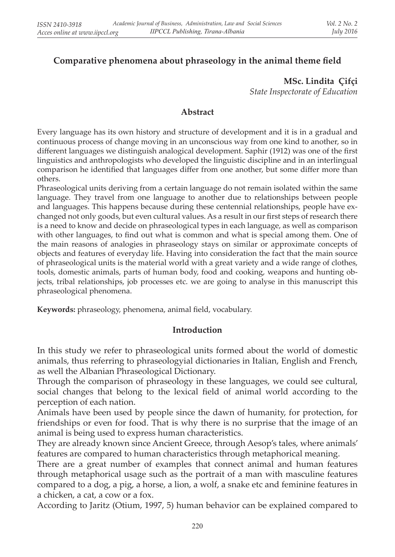# **Comparative phenomena about phraseology in the animal theme field**

**MSc. Lindita Çifçi** *State Inspectorate of Education*

#### **Abstract**

Every language has its own history and structure of development and it is in a gradual and continuous process of change moving in an unconscious way from one kind to another, so in different languages we distinguish analogical development. Saphir (1912) was one of the first linguistics and anthropologists who developed the linguistic discipline and in an interlingual comparison he identified that languages differ from one another, but some differ more than others.

Phraseological units deriving from a certain language do not remain isolated within the same language. They travel from one language to another due to relationships between people and languages. This happens because during these centennial relationships, people have exchanged not only goods, but even cultural values. As a result in our first steps of research there is a need to know and decide on phraseological types in each language, as well as comparison with other languages, to find out what is common and what is special among them. One of the main reasons of analogies in phraseology stays on similar or approximate concepts of objects and features of everyday life. Having into consideration the fact that the main source of phraseological units is the material world with a great variety and a wide range of clothes, tools, domestic animals, parts of human body, food and cooking, weapons and hunting objects, tribal relationships, job processes etc. we are going to analyse in this manuscript this phraseological phenomena.

**Keywords:** phraseology, phenomena, animal field, vocabulary.

#### **Introduction**

In this study we refer to phraseological units formed about the world of domestic animals, thus referring to phraseologyial dictionaries in Italian, English and French, as well the Albanian Phraseological Dictionary.

Through the comparison of phraseology in these languages, we could see cultural, social changes that belong to the lexical field of animal world according to the perception of each nation.

Animals have been used by people since the dawn of humanity, for protection, for friendships or even for food. That is why there is no surprise that the image of an animal is being used to express human characteristics.

They are already known since Ancient Greece, through Aesop's tales, where animals' features are compared to human characteristics through metaphorical meaning.

There are a great number of examples that connect animal and human features through metaphorical usage such as the portrait of a man with masculine features compared to a dog, a pig, a horse, a lion, a wolf, a snake etc and feminine features in a chicken, a cat, a cow or a fox.

According to Jaritz (Otium, 1997, 5) human behavior can be explained compared to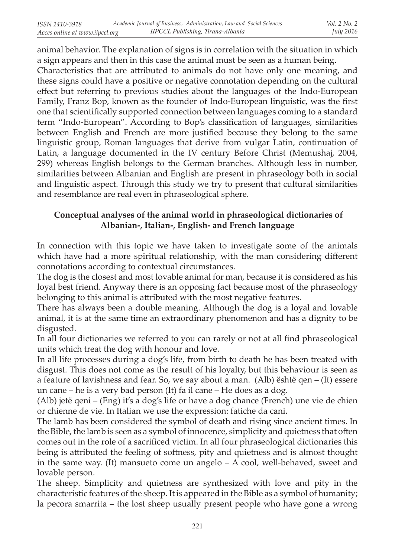animal behavior. The explanation of signs is in correlation with the situation in which a sign appears and then in this case the animal must be seen as a human being.

Characteristics that are attributed to animals do not have only one meaning, and these signs could have a positive or negative connotation depending on the cultural effect but referring to previous studies about the languages of the Indo-European Family, Franz Bop, known as the founder of Indo-European linguistic, was the first one that scientifically supported connection between languages coming to a standard term "Indo-European". According to Bop's classification of languages, similarities between English and French are more justified because they belong to the same linguistic group, Roman languages that derive from vulgar Latin, continuation of Latin, a language documented in the IV century Before Christ (Memushaj, 2004, 299) whereas English belongs to the German branches. Although less in number, similarities between Albanian and English are present in phraseology both in social and linguistic aspect. Through this study we try to present that cultural similarities and resemblance are real even in phraseological sphere.

## **Conceptual analyses of the animal world in phraseological dictionaries of Albanian-, Italian-, English- and French language**

In connection with this topic we have taken to investigate some of the animals which have had a more spiritual relationship, with the man considering different connotations according to contextual circumstances.

The dog is the closest and most lovable animal for man, because it is considered as his loyal best friend. Anyway there is an opposing fact because most of the phraseology belonging to this animal is attributed with the most negative features.

There has always been a double meaning. Although the dog is a loyal and lovable animal, it is at the same time an extraordinary phenomenon and has a dignity to be disgusted.

In all four dictionaries we referred to you can rarely or not at all find phraseological units which treat the dog with honour and love.

In all life processes during a dog's life, from birth to death he has been treated with disgust. This does not come as the result of his loyalty, but this behaviour is seen as a feature of lavishness and fear. So, we say about a man. (Alb) është qen – (It) essere un cane – he is a very bad person (It) fa il cane – He does as a dog.

(Alb) jetë qeni – (Eng) it's a dog's life or have a dog chance (French) une vie de chien or chienne de vie. In Italian we use the expression: fatiche da cani.

The lamb has been considered the symbol of death and rising since ancient times. In the Bible, the lamb is seen as a symbol of innocence, simplicity and quietness that often comes out in the role of a sacrificed victim. In all four phraseological dictionaries this being is attributed the feeling of softness, pity and quietness and is almost thought in the same way. (It) mansueto come un angelo – A cool, well-behaved, sweet and lovable person.

The sheep. Simplicity and quietness are synthesized with love and pity in the characteristic features of the sheep. It is appeared in the Bible as a symbol of humanity; la pecora smarrita – the lost sheep usually present people who have gone a wrong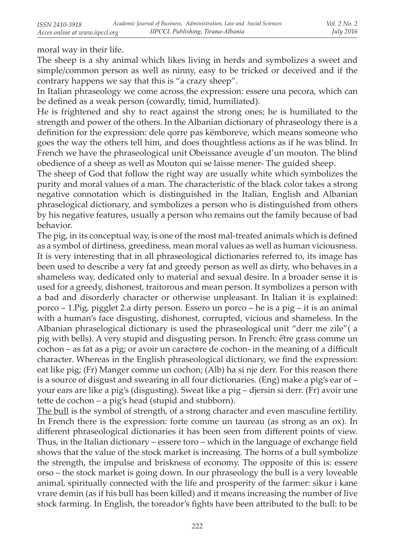moral way in their life.

The sheep is a shy animal which likes living in herds and symbolizes a sweet and simple/common person as well as ninny, easy to be tricked or deceived and if the contrary happens we say that this is "a crazy sheep".

In Italian phraseology we come across\_the expression: essere una pecora, which can be defined as a weak person (cowardly, timid, humiliated).

He is frightened and shy to react against the strong ones; he is humiliated to the strength and power of the others. In the Albanian dictionary of phraseology there is a definition for the expression: dele qorre pas këmboreve, which means someone who goes the way the others tell him, and does thoughtless actions as if he was blind. In French we have the phraseological unit Obeissance aveugle d'un mouton. The blind obedience of a sheep as well as Mouton qui se laisse mener- The guided sheep.

The sheep of God that follow the right way are usually white which symbolizes the purity and moral values of a man. The characteristic of the black color takes a strong negative connotation which is distinguished in the Italian, English and Albanian phraselogical dictionary, and symbolizes a person who is distinguished from others by his negative features, usually a person who remains out the family because of bad behavior.

The pig, in its conceptual way, is one of the most mal-treated animals which is defined as a symbol of dirtiness, greediness, mean moral values as well as human viciousness. It is very interesting that in all phraseological dictionaries referred to, its image has been used to describe a very fat and greedy person as well as dirty, who behaves in a shameless way, dedicated only to material and sexual desire. In a broader sense it is used for a greedy, dishonest, traitorous and mean person. It symbolizes a person with a bad and disorderly character or otherwise unpleasant. In Italian it is explained: porco – 1.Pig, pigglet 2.a dirty person. Essero un porco – he is a pig – it is an animal with a human's face disgusting, dishonest, corrupted, vicious and shameless. In the Albanian phraselogical dictionary is used the phraseological unit "derr me zile"( a pig with bells). A very stupid and disgusting person. In French: ếtre grass comme un cochon – as fat as a pig; or avoir un caract re de cochon- in the meaning of a difficult character. Whereas in the English phraseological dictionary, we find the expression: eat like pig; (Fr) Manger comme un cochon; (Alb) ha si nje derr. For this reason there is a source of disgust and swearing in all four dictionaries. (Eng) make a pig's ear of – your ears are like a pig's (disgusting). Sweat like a pig – djersin si derr. (Fr) avoir une tette de cochon – a pig's head (stupid and stubborn).

The bull is the symbol of strength, of a strong character and even masculine fertility. In French there is the expression: forte comme un taureau (as strong as an ox). In different phraseological dictionaries it has been seen from different points of view. Thus, in the Italian dictionary – essere toro – which in the language of exchange field shows that the value of the stock market is increasing. The horns of a bull symbolize the strength, the impulse and briskness of economy. The opposite of this is: essere orso – the stock market is going down. In our phraseology the bull is a very loveable animal, spiritually connected with the life and prosperity of the farmer: sikur i kane vrare demin (as if his bull has been killed) and it means increasing the number of live stock farming. In English, the toreador's fights have been attributed to the bull: to be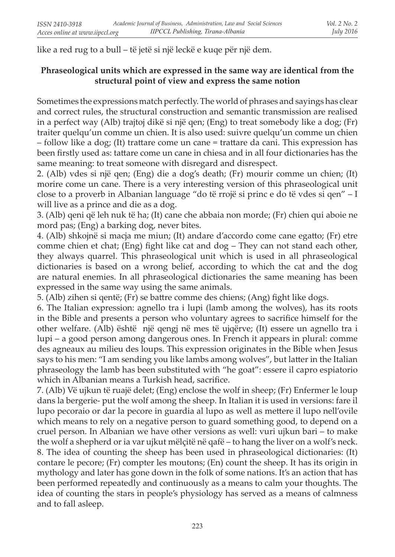like a red rug to a bull – të jetë si një leckë e kuqe për një dem.

#### **Phraseological units which are expressed in the same way are identical from the structural point of view and express the same notion**

Sometimes the expressions match perfectly. The world of phrases and sayings has clear and correct rules, the structural construction and semantic transmission are realised in a perfect way (Alb) trajtoj dikë si një qen; (Eng) to treat somebody like a dog; (Fr) traiter quelqu'un comme un chien. It is also used: suivre quelqu'un comme un chien – follow like a dog; (It) trattare come un cane = trattare da cani. This expression has been firstly used as: tattare come un cane in chiesa and in all four dictionaries has the same meaning: to treat someone with disregard and disrespect.

2. (Alb) vdes si një qen; (Eng) die a dog's death; (Fr) mourir comme un chien; (It) morire come un cane. There is a very interesting version of this phraseological unit close to a proverb in Albanian language "do të rrojë si princ e do të vdes si qen" – I will live as a prince and die as a dog.

3. (Alb) qeni që leh nuk të ha; (It) cane che abbaia non morde; (Fr) chien qui aboie ne mord pas; (Eng) a barking dog, never bites.

4. (Alb) shkojnë si macja me miun; (It) andare d'accordo come cane egatto; (Fr) etre comme chien et chat; (Eng) fight like cat and dog – They can not stand each other, they always quarrel. This phraseological unit which is used in all phraseological dictionaries is based on a wrong belief, according to which the cat and the dog are natural enemies. In all phraseological dictionaries the same meaning has been expressed in the same way using the same animals.

5. (Alb) zihen si qentë; (Fr) se battre comme des chiens; (Ang) fight like dogs.

6. The Italian expression: agnello tra i lupi (lamb among the wolves), has its roots in the Bible and presents a person who voluntary agrees to sacrifice himself for the other welfare. (Alb) është një qengj në mes të ujqërve; (It) essere un agnello tra i lupi – a good person among dangerous ones. In French it appears in plural: comme des agneaux au milieu des loups. This expression originates in the Bible when Jesus says to his men: "I am sending you like lambs among wolves", but latter in the Italian phraseology the lamb has been substituted with "he goat": essere il capro espiatorio which in Albanian means a Turkish head, sacrifice.

7. (Alb) Vë ujkun të ruajë delet; (Eng) enclose the wolf in sheep; (Fr) Enfermer le loup dans la bergerie- put the wolf among the sheep. In Italian it is used in versions: fare il lupo pecoraio or dar la pecore in guardia al lupo as well as mettere il lupo nell'ovile which means to rely on a negative person to guard something good, to depend on a cruel person. In Albanian we have other versions as well: vuri ujkun bari – to make the wolf a shepherd or ia var ujkut mëlçitë në qafë – to hang the liver on a wolf's neck. 8. The idea of counting the sheep has been used in phraseological dictionaries: (It) contare le pecore; (Fr) compter les moutons; (En) count the sheep. It has its origin in mythology and later has gone down in the folk of some nations. It's an action that has been performed repeatedly and continuously as a means to calm your thoughts. The idea of counting the stars in people's physiology has served as a means of calmness and to fall asleep.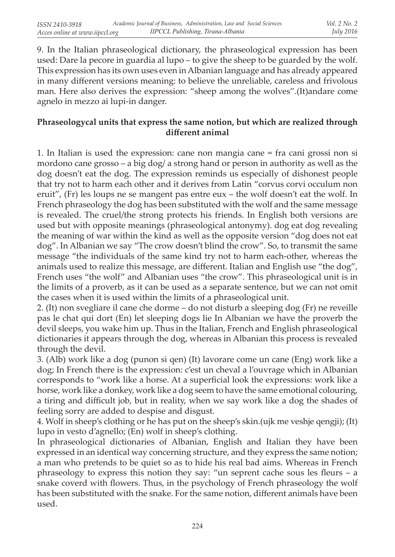9. In the Italian phraseological dictionary, the phraseological expression has been used: Dare la pecore in guardia al lupo – to give the sheep to be guarded by the wolf. This expression has its own uses even in Albanian language and has already appeared in many different versions meaning: to believe the unreliable, careless and frivolous man. Here also derives the expression: "sheep among the wolves".(It)andare come agnelo in mezzo ai lupi-in danger.

#### **Phraseologycal units that express the same notion, but which are realized through different animal**

1. In Italian is used the expression: cane non mangia cane = fra cani grossi non si mordono cane grosso – a big dog/ a strong hand or person in authority as well as the dog doesn't eat the dog. The expression reminds us especially of dishonest people that try not to harm each other and it derives from Latin "corvus corvi occulum non eruit", (Fr) les loups ne se mangent pas entre eux – the wolf doesn't eat the wolf. In French phraseology the dog has been substituted with the wolf and the same message is revealed. The cruel/the strong protects his friends. In English both versions are used but with opposite meanings (phraseological antonymy). dog eat dog revealing the meaning of war within the kind as well as the opposite version "dog does not eat dog". In Albanian we say "The crow doesn't blind the crow". So, to transmit the same message "the individuals of the same kind try not to harm each-other, whereas the animals used to realize this message, are different. Italian and English use "the dog", French uses "the wolf" and Albanian uses "the crow". This phraseological unit is in the limits of a proverb, as it can be used as a separate sentence, but we can not omit the cases when it is used within the limits of a phraseological unit.

2. (It) non svegliare il cane che dorme – do not disturb a sleeping dog (Fr) ne reveille pas le chat qui dort (En) let sleeping dogs lie In Albanian we have the proverb the devil sleeps, you wake him up. Thus in the Italian, French and English phraseological dictionaries it appears through the dog, whereas in Albanian this process is revealed through the devil.

3. (Alb) work like a dog (punon si qen) (It) lavorare come un cane (Eng) work like a dog; In French there is the expression: c'est un cheval a l'ouvrage which in Albanian corresponds to "work like a horse. At a superficial look the expressions: work like a horse, work like a donkey, work like a dog seem to have the same emotional colouring, a tiring and difficult job, but in reality, when we say work like a dog the shades of feeling sorry are added to despise and disgust.

4. Wolf in sheep's clothing or he has put on the sheep's skin.(ujk me veshje qengji); (It) lupo in vesto d'agnello; (En) wolf in sheep's clothing.

In phraseological dictionaries of Albanian, English and Italian they have been expressed in an identical way concerning structure, and they express the same notion; a man who pretends to be quiet so as to hide his real bad aims. Whereas in French phraseology to express this notion they say: "un seprent cache sous les fleurs – a snake coverd with flowers. Thus, in the psychology of French phraseology the wolf has been substituted with the snake. For the same notion, different animals have been used.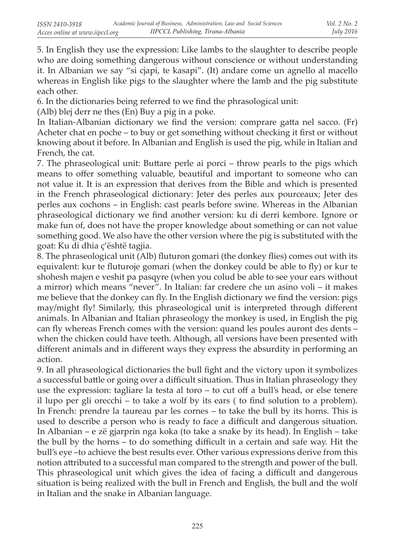5. In English they use the expression: Like lambs to the slaughter to describe people who are doing something dangerous without conscience or without understanding it. In Albanian we say "si cjapi, te kasapi". (It) andare come un agnello al macello whereas in English like pigs to the slaughter where the lamb and the pig substitute each other.

6. In the dictionaries being referred to we find the phrasological unit:

(Alb) blej derr ne thes (En) Buy a pig in a poke.

In Italian-Albanian dictionary we find the version: comprare gatta nel sacco. (Fr) Acheter chat en poche – to buy or get something without checking it first or without knowing about it before. In Albanian and English is used the pig, while in Italian and French, the cat.

7. The phraseological unit: Buttare perle ai porci – throw pearls to the pigs which means to offer something valuable, beautiful and important to someone who can not value it. It is an expression that derives from the Bible and which is presented in the French phraseological dictionary: Jeter des perles aux pourceaux; Jeter des perles aux cochons – in English: cast pearls before swine. Whereas in the Albanian phraseological dictionary we find another version: ku di derri kembore. Ignore or make fun of, does not have the proper knowledge about something or can not value something good. We also have the other version where the pig is substituted with the goat: Ku di dhia ç'është tagjia.

8. The phraseological unit (Alb) fluturon gomari (the donkey flies) comes out with its equivalent: kur te fluturoje gomari (when the donkey could be able to fly) or kur te shohesh majen e veshit pa pasqyre (when you colud be able to see your ears without a mirror) which means "never". In Italian: far credere che un asino voli – it makes me believe that the donkey can fly. In the English dictionary we find the version: pigs may/might fly! Similarly, this phraseological unit is interpreted through different animals. In Albanian and Italian phraseology the monkey is used, in English the pig can fly whereas French comes with the version: quand les poules auront des dents – when the chicken could have teeth. Although, all versions have been presented with different animals and in different ways they express the absurdity in performing an action.

9. In all phraseological dictionaries the bull fight and the victory upon it symbolizes a successful battle or going over a difficult situation. Thus in Italian phraseology they use the expression: tagliare la testa al toro – to cut off a bull's head, or else tenere il lupo per gli orecchi – to take a wolf by its ears ( to find solution to a problem). In French: prendre la taureau par les cornes – to take the bull by its horns. This is used to describe a person who is ready to face a difficult and dangerous situation. In Albanian – e zë gjarprin nga koka (to take a snake by its head). In English – take the bull by the horns – to do something difficult in a certain and safe way. Hit the bull's eye –to achieve the best results ever. Other various expressions derive from this notion attributed to a successful man compared to the strength and power of the bull. This phraseological unit which gives the idea of facing a difficult and dangerous situation is being realized with the bull in French and English, the bull and the wolf in Italian and the snake in Albanian language.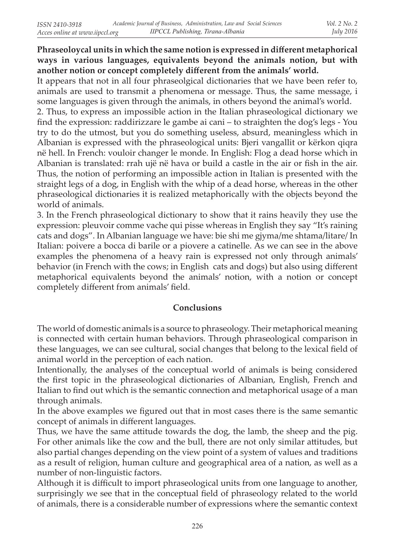## **Phraseoloycal units in which the same notion is expressed in different metaphorical ways in various languages, equivalents beyond the animals notion, but with another notion or concept completely different from the animals' world.**

It appears that not in all four phraseolgical dictionaries that we have been refer to, animals are used to transmit a phenomena or message. Thus, the same message, i some languages is given through the animals, in others beyond the animal's world.

2. Thus, to express an impossible action in the Italian phraseological dictionary we find the expression: raddirizzare le gambe ai cani – to straighten the dog's legs - You try to do the utmost, but you do something useless, absurd, meaningless which in Albanian is expressed with the phraseological units: Bjeri vangallit or kërkon qiqra në hell. In French: vouloir changer le monde. In English: Flog a dead horse which in Albanian is translated: rrah ujë në hava or build a castle in the air or fish in the air. Thus, the notion of performing an impossible action in Italian is presented with the straight legs of a dog, in English with the whip of a dead horse, whereas in the other phraseological dictionaries it is realized metaphorically with the objects beyond the world of animals.

3. In the French phraseological dictionary to show that it rains heavily they use the expression: pleuvoir comme vache qui pisse whereas in English they say "It's raining cats and dogs". In Albanian language we have: bie shi me gjyma/me shtama/litare/ In Italian: poivere a bocca di barile or a piovere a catinelle. As we can see in the above examples the phenomena of a heavy rain is expressed not only through animals' behavior (in French with the cows; in English cats and dogs) but also using different metaphorical equivalents beyond the animals' notion, with a notion or concept completely different from animals' field.

## **Conclusions**

The world of domestic animals is a source to phraseology. Their metaphorical meaning is connected with certain human behaviors. Through phraseological comparison in these languages, we can see cultural, social changes that belong to the lexical field of animal world in the perception of each nation.

Intentionally, the analyses of the conceptual world of animals is being considered the first topic in the phraseological dictionaries of Albanian, English, French and Italian to find out which is the semantic connection and metaphorical usage of a man through animals.

In the above examples we figured out that in most cases there is the same semantic concept of animals in different languages.

Thus, we have the same attitude towards the dog, the lamb, the sheep and the pig. For other animals like the cow and the bull, there are not only similar attitudes, but also partial changes depending on the view point of a system of values and traditions as a result of religion, human culture and geographical area of a nation, as well as a number of non-linguistic factors.

Although it is difficult to import phraseological units from one language to another, surprisingly we see that in the conceptual field of phraseology related to the world of animals, there is a considerable number of expressions where the semantic context